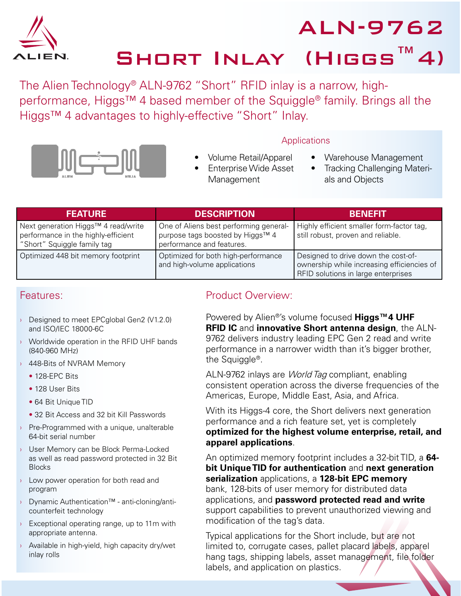

ALN-9762

SHORT INLAY (HIGGS™4)

The Alien Technology® ALN-9762 "Short" RFID inlay is a narrow, highperformance, Higgs™ 4 based member of the Squiggle® family. Brings all the Higgs™ 4 advantages to highly-effective "Short" Inlay.



- **Applications** 
	- Warehouse Management
	- **Tracking Challenging Materi**als and Objects

| <b>FEATURE</b>                                                                                            | <b>DESCRIPTION</b>                                                                                      | BENEEIT                                                                                                                  |
|-----------------------------------------------------------------------------------------------------------|---------------------------------------------------------------------------------------------------------|--------------------------------------------------------------------------------------------------------------------------|
| Next generation Higgs™ 4 read/write<br>performance in the highly-efficient<br>"Short" Squiggle family tag | One of Aliens best performing general-<br>purpose tags boosted by Higgs™ 4<br>performance and features. | Highly efficient smaller form-factor tag,<br>still robust, proven and reliable.                                          |
| Optimized 448 bit memory footprint                                                                        | Optimized for both high-performance<br>and high-volume applications                                     | Designed to drive down the cost-of-<br>ownership while increasing efficiencies of<br>RFID solutions in large enterprises |

Management

## Features:

- › Designed to meet EPCglobal Gen2 (V1.2.0) and ISO/IEC 18000-6C
- › Worldwide operation in the RFID UHF bands (840-960 MHz)
- › 448-Bits of NVRAM Memory
	- 128-FPC Bits
	- 128 User Bits
	- 64 Bit Unique TID
	- 32 Bit Access and 32 bit Kill Passwords
- **Pre-Programmed with a unique, unalterable** 64-bit serial number
- › User Memory can be Block Perma-Locked as well as read password protected in 32 Bit **Blocks**
- › Low power operation for both read and program
- › Dynamic Authentication™ anti-cloning/anticounterfeit technology
- $\rightarrow$  Exceptional operating range, up to 11m with appropriate antenna.
- › Available in high-yield, high capacity dry/wet inlay rolls

## Product Overview:

• Volume Retail/Apparel **Enterprise Wide Asset** 

Powered by Alien®'s volume focused **Higgs™4 UHF RFID IC** and **innovative Short antenna design**, the ALN-9762 delivers industry leading EPC Gen 2 read and write performance in a narrower width than it's bigger brother, the Squiggle®.

ALN-9762 inlays are World Tag compliant, enabling consistent operation across the diverse frequencies of the Americas, Europe, Middle East, Asia, and Africa.

With its Higgs-4 core, the Short delivers next generation performance and a rich feature set, yet is completely **optimized for the highest volume enterprise, retail, and apparel applications**.

An optimized memory footprint includes a 32-bit TID, a **64 bit Unique TID for authentication** and **next generation serialization** applications, a **128-bit EPC memory** bank, 128-bits of user memory for distributed data applications, and **password protected read and write** support capabilities to prevent unauthorized viewing and modification of the tag's data.

Typical applications for the Short include, but are not limited to, corrugate cases, pallet placard labels, apparel hang tags, shipping labels, asset management, file folder labels, and application on plastics.